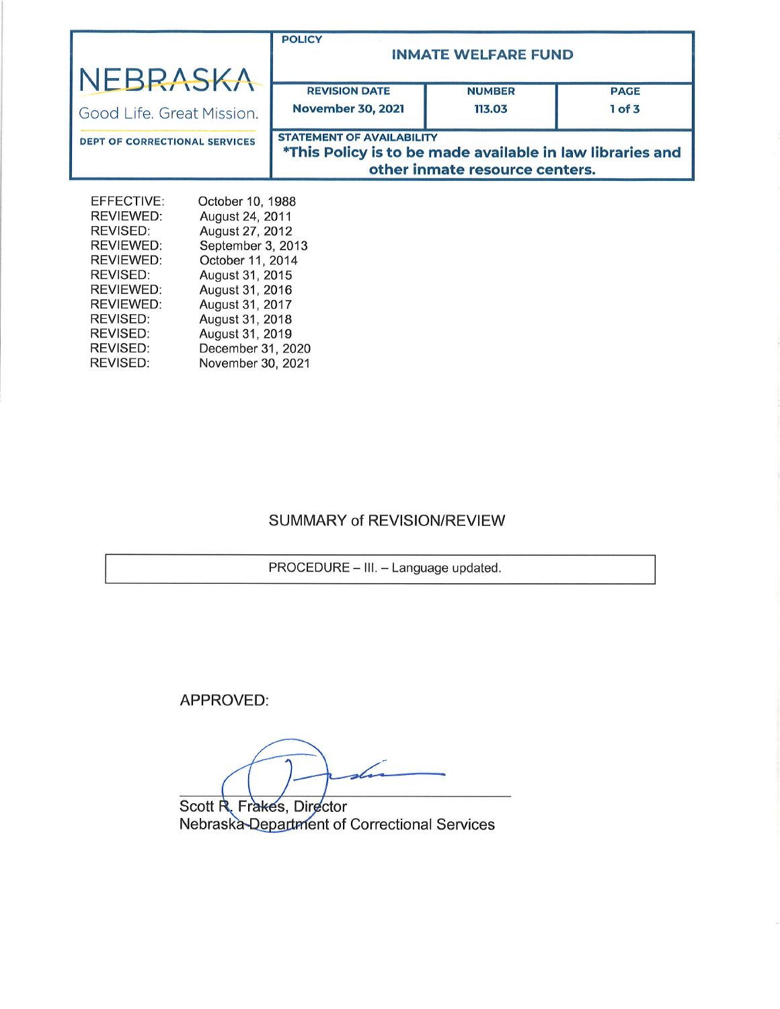| NEBRASKA                                                                                                                                  |                                                                                                                                                                                                | <b>POLICY</b><br><b>INMATE WELFARE FUND</b>                                                                                     |               |             |  |
|-------------------------------------------------------------------------------------------------------------------------------------------|------------------------------------------------------------------------------------------------------------------------------------------------------------------------------------------------|---------------------------------------------------------------------------------------------------------------------------------|---------------|-------------|--|
|                                                                                                                                           |                                                                                                                                                                                                | <b>REVISION DATE</b>                                                                                                            | <b>NUMBER</b> | <b>PAGE</b> |  |
| Good Life, Great Mission.                                                                                                                 |                                                                                                                                                                                                | <b>November 30, 2021</b>                                                                                                        | 113.03        | 1 of 3      |  |
| <b>DEPT OF CORRECTIONAL SERVICES</b>                                                                                                      |                                                                                                                                                                                                | <b>STATEMENT OF AVAILABILITY</b><br>*This Policy is to be made available in law libraries and<br>other inmate resource centers. |               |             |  |
| EFFECTIVE:<br><b>REVIEWED:</b><br>REVISED:<br>REVIEWED:<br><b>REVIEWED:</b><br>REVISED:<br>REVIEWED:<br>REVIEWED:<br>REVISED:<br>REVISED: | October 10, 1988<br>August 24, 2011<br>August 27, 2012<br>September 3, 2013<br>October 11, 2014<br>August 31, 2015<br>August 31, 2016<br>August 31, 2017<br>August 31, 2018<br>August 31, 2019 |                                                                                                                                 |               |             |  |

# SUMMARY of REVISION/REVIEW

PROCEDURE - III. - Language updated.

APPROVED:

December 31,2020 November 30,2021

REVISED: REVISED:

Scott R. Fra<del>k</del>es, Director Nebraska-Department of Correctional Services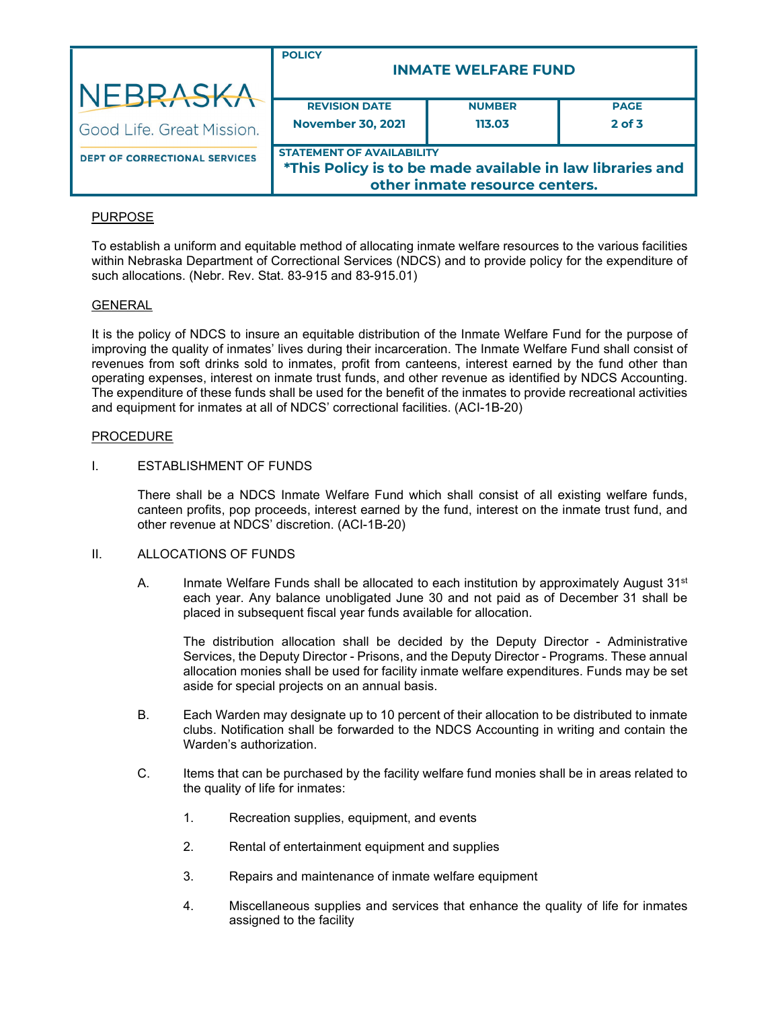|                                      | <b>POLICY</b><br><b>INMATE WELFARE FUND</b>                                                                                     |               |             |  |  |
|--------------------------------------|---------------------------------------------------------------------------------------------------------------------------------|---------------|-------------|--|--|
| NEBRASKA                             |                                                                                                                                 |               |             |  |  |
|                                      | <b>REVISION DATE</b>                                                                                                            | <b>NUMBER</b> | <b>PAGE</b> |  |  |
| Good Life. Great Mission.            | <b>November 30, 2021</b>                                                                                                        | 113.03        | $2$ of $3$  |  |  |
| <b>DEPT OF CORRECTIONAL SERVICES</b> | <b>STATEMENT OF AVAILABILITY</b><br>*This Policy is to be made available in law libraries and<br>other inmate resource centers. |               |             |  |  |

# PURPOSE

To establish a uniform and equitable method of allocating inmate welfare resources to the various facilities within Nebraska Department of Correctional Services (NDCS) and to provide policy for the expenditure of such allocations. (Nebr. Rev. Stat. 83-915 and 83-915.01)

## **GENERAL**

It is the policy of NDCS to insure an equitable distribution of the Inmate Welfare Fund for the purpose of improving the quality of inmates' lives during their incarceration. The Inmate Welfare Fund shall consist of revenues from soft drinks sold to inmates, profit from canteens, interest earned by the fund other than operating expenses, interest on inmate trust funds, and other revenue as identified by NDCS Accounting. The expenditure of these funds shall be used for the benefit of the inmates to provide recreational activities and equipment for inmates at all of NDCS' correctional facilities. (ACI-1B-20)

#### **PROCEDURE**

## I. ESTABLISHMENT OF FUNDS

There shall be a NDCS Inmate Welfare Fund which shall consist of all existing welfare funds, canteen profits, pop proceeds, interest earned by the fund, interest on the inmate trust fund, and other revenue at NDCS' discretion. (ACI-1B-20)

#### II. ALLOCATIONS OF FUNDS

A. Inmate Welfare Funds shall be allocated to each institution by approximately August  $31<sup>st</sup>$ each year. Any balance unobligated June 30 and not paid as of December 31 shall be placed in subsequent fiscal year funds available for allocation.

The distribution allocation shall be decided by the Deputy Director - Administrative Services, the Deputy Director - Prisons, and the Deputy Director - Programs. These annual allocation monies shall be used for facility inmate welfare expenditures. Funds may be set aside for special projects on an annual basis.

- B. Each Warden may designate up to 10 percent of their allocation to be distributed to inmate clubs. Notification shall be forwarded to the NDCS Accounting in writing and contain the Warden's authorization.
- C. Items that can be purchased by the facility welfare fund monies shall be in areas related to the quality of life for inmates:
	- 1. Recreation supplies, equipment, and events
	- 2. Rental of entertainment equipment and supplies
	- 3. Repairs and maintenance of inmate welfare equipment
	- 4. Miscellaneous supplies and services that enhance the quality of life for inmates assigned to the facility